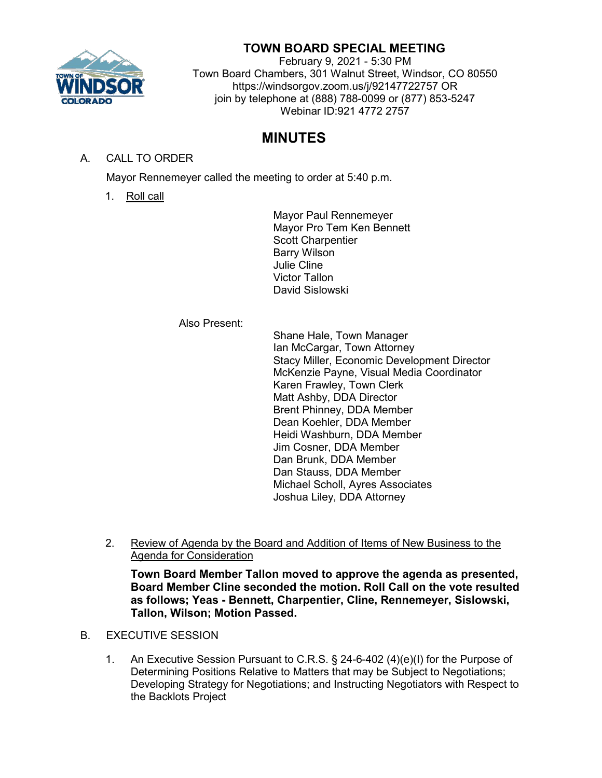

## **TOWN BOARD SPECIAL MEETING**

February 9, 2021 - 5:30 PM Town Board Chambers, 301 Walnut Street, Windsor, CO 80550 https://windsorgov.zoom.us/j/92147722757 OR join by telephone at (888) 788-0099 or (877) 853-5247 Webinar ID:921 4772 2757

# **MINUTES**

## A. CALL TO ORDER

Mayor Rennemeyer called the meeting to order at 5:40 p.m.

1. Roll call

Mayor Paul Rennemeyer Mayor Pro Tem Ken Bennett Scott Charpentier Barry Wilson Julie Cline Victor Tallon David Sislowski

Also Present:

Shane Hale, Town Manager Ian McCargar, Town Attorney Stacy Miller, Economic Development Director McKenzie Payne, Visual Media Coordinator Karen Frawley, Town Clerk Matt Ashby, DDA Director Brent Phinney, DDA Member Dean Koehler, DDA Member Heidi Washburn, DDA Member Jim Cosner, DDA Member Dan Brunk, DDA Member Dan Stauss, DDA Member Michael Scholl, Ayres Associates Joshua Liley, DDA Attorney

2. Review of Agenda by the Board and Addition of Items of New Business to the Agenda for Consideration

**Town Board Member Tallon moved to approve the agenda as presented, Board Member Cline seconded the motion. Roll Call on the vote resulted as follows; Yeas - Bennett, Charpentier, Cline, Rennemeyer, Sislowski, Tallon, Wilson; Motion Passed.**

- B. EXECUTIVE SESSION
	- 1. An Executive Session Pursuant to C.R.S. § 24-6-402 (4)(e)(I) for the Purpose of Determining Positions Relative to Matters that may be Subject to Negotiations; Developing Strategy for Negotiations; and Instructing Negotiators with Respect to the Backlots Project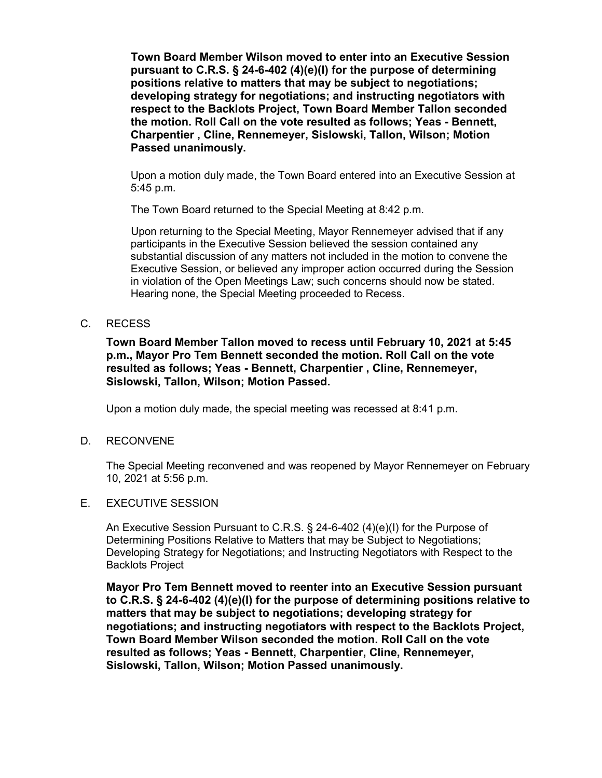**Town Board Member Wilson moved to enter into an Executive Session pursuant to C.R.S. § 24-6-402 (4)(e)(I) for the purpose of determining positions relative to matters that may be subject to negotiations; developing strategy for negotiations; and instructing negotiators with respect to the Backlots Project, Town Board Member Tallon seconded the motion. Roll Call on the vote resulted as follows; Yeas - Bennett, Charpentier , Cline, Rennemeyer, Sislowski, Tallon, Wilson; Motion Passed unanimously.**

Upon a motion duly made, the Town Board entered into an Executive Session at 5:45 p.m.

The Town Board returned to the Special Meeting at 8:42 p.m.

Upon returning to the Special Meeting, Mayor Rennemeyer advised that if any participants in the Executive Session believed the session contained any substantial discussion of any matters not included in the motion to convene the Executive Session, or believed any improper action occurred during the Session in violation of the Open Meetings Law; such concerns should now be stated. Hearing none, the Special Meeting proceeded to Recess.

### C. RECESS

**Town Board Member Tallon moved to recess until February 10, 2021 at 5:45 p.m., Mayor Pro Tem Bennett seconded the motion. Roll Call on the vote resulted as follows; Yeas - Bennett, Charpentier , Cline, Rennemeyer, Sislowski, Tallon, Wilson; Motion Passed.**

Upon a motion duly made, the special meeting was recessed at 8:41 p.m.

#### D. RECONVENE

The Special Meeting reconvened and was reopened by Mayor Rennemeyer on February 10, 2021 at 5:56 p.m.

### E. EXECUTIVE SESSION

An Executive Session Pursuant to C.R.S. § 24-6-402 (4)(e)(I) for the Purpose of Determining Positions Relative to Matters that may be Subject to Negotiations; Developing Strategy for Negotiations; and Instructing Negotiators with Respect to the Backlots Project

**Mayor Pro Tem Bennett moved to reenter into an Executive Session pursuant to C.R.S. § 24-6-402 (4)(e)(I) for the purpose of determining positions relative to matters that may be subject to negotiations; developing strategy for negotiations; and instructing negotiators with respect to the Backlots Project, Town Board Member Wilson seconded the motion. Roll Call on the vote resulted as follows; Yeas - Bennett, Charpentier, Cline, Rennemeyer, Sislowski, Tallon, Wilson; Motion Passed unanimously.**